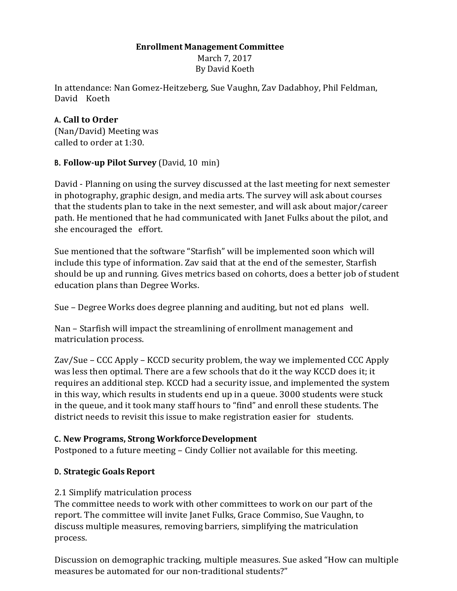#### **Enrollment Management Committee**

March 7, 2017 By David Koeth

In attendance: Nan Gomez-Heitzeberg, Sue Vaughn, Zav Dadabhoy, Phil Feldman, David Koeth

### **A. Call to Order**

(Nan/David) Meeting was called to order at 1:30.

# **B. Follow-up Pilot Survey** (David, 10 min)

David - Planning on using the survey discussed at the last meeting for next semester in photography, graphic design, and media arts. The survey will ask about courses that the students plan to take in the next semester, and will ask about major/career path. He mentioned that he had communicated with Janet Fulks about the pilot, and she encouraged the effort.

Sue mentioned that the software "Starfish" will be implemented soon which will include this type of information. Zav said that at the end of the semester, Starfish should be up and running. Gives metrics based on cohorts, does a better job of student education plans than Degree Works.

Sue – Degree Works does degree planning and auditing, but not ed plans well.

Nan – Starfish will impact the streamlining of enrollment management and matriculation process.

Zav/Sue – CCC Apply – KCCD security problem, the way we implemented CCC Apply was less then optimal. There are a few schools that do it the way KCCD does it; it requires an additional step. KCCD had a security issue, and implemented the system in this way, which results in students end up in a queue. 3000 students were stuck in the queue, and it took many staff hours to "find" and enroll these students. The district needs to revisit this issue to make registration easier for students.

# **C. New Programs, Strong WorkforceDevelopment**

Postponed to a future meeting – Cindy Collier not available for this meeting.

# **D. Strategic Goals Report**

#### 2.1 Simplify matriculation process

The committee needs to work with other committees to work on our part of the report. The committee will invite Janet Fulks, Grace Commiso, Sue Vaughn, to discuss multiple measures, removing barriers, simplifying the matriculation process.

Discussion on demographic tracking, multiple measures. Sue asked "How can multiple measures be automated for our non-traditional students?"